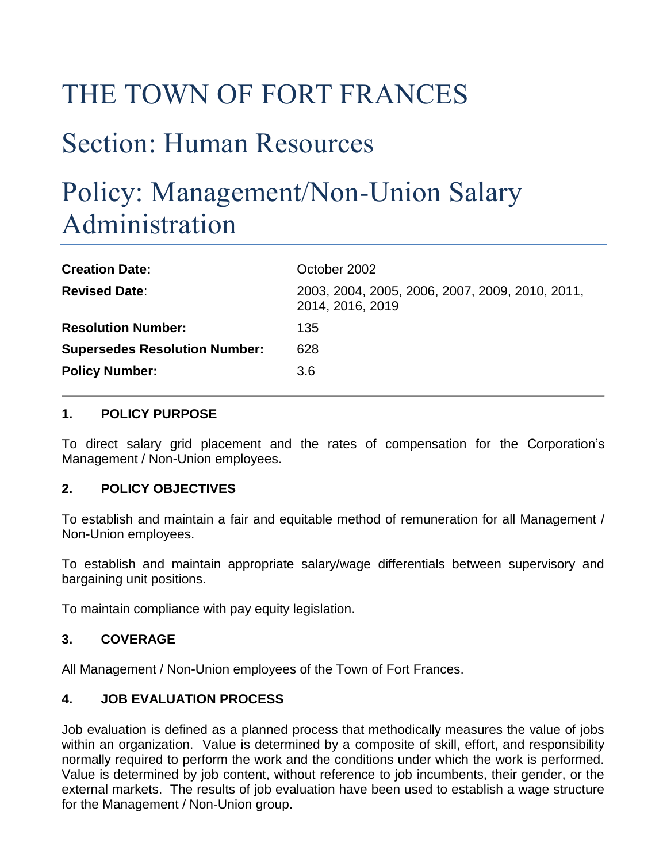# THE TOWN OF FORT FRANCES

# Section: Human Resources

## Policy: Management/Non-Union Salary Administration

| <b>Creation Date:</b>                | October 2002                                                        |
|--------------------------------------|---------------------------------------------------------------------|
| <b>Revised Date:</b>                 | 2003, 2004, 2005, 2006, 2007, 2009, 2010, 2011,<br>2014, 2016, 2019 |
| <b>Resolution Number:</b>            | 135                                                                 |
| <b>Supersedes Resolution Number:</b> | 628                                                                 |
| <b>Policy Number:</b>                | 3.6                                                                 |

#### **1. POLICY PURPOSE**

To direct salary grid placement and the rates of compensation for the Corporation's Management / Non-Union employees.

#### **2. POLICY OBJECTIVES**

To establish and maintain a fair and equitable method of remuneration for all Management / Non-Union employees.

To establish and maintain appropriate salary/wage differentials between supervisory and bargaining unit positions.

To maintain compliance with pay equity legislation.

#### **3. COVERAGE**

All Management / Non-Union employees of the Town of Fort Frances.

#### **4. JOB EVALUATION PROCESS**

Job evaluation is defined as a planned process that methodically measures the value of jobs within an organization. Value is determined by a composite of skill, effort, and responsibility normally required to perform the work and the conditions under which the work is performed. Value is determined by job content, without reference to job incumbents, their gender, or the external markets. The results of job evaluation have been used to establish a wage structure for the Management / Non-Union group.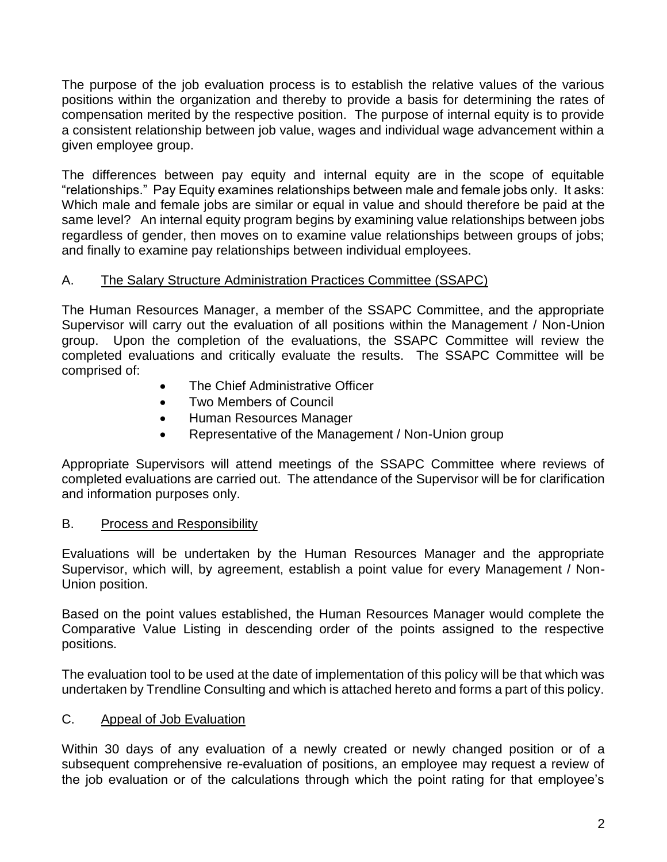The purpose of the job evaluation process is to establish the relative values of the various positions within the organization and thereby to provide a basis for determining the rates of compensation merited by the respective position. The purpose of internal equity is to provide a consistent relationship between job value, wages and individual wage advancement within a given employee group.

The differences between pay equity and internal equity are in the scope of equitable "relationships." Pay Equity examines relationships between male and female jobs only. It asks: Which male and female jobs are similar or equal in value and should therefore be paid at the same level? An internal equity program begins by examining value relationships between jobs regardless of gender, then moves on to examine value relationships between groups of jobs; and finally to examine pay relationships between individual employees.

#### A. The Salary Structure Administration Practices Committee (SSAPC)

The Human Resources Manager, a member of the SSAPC Committee, and the appropriate Supervisor will carry out the evaluation of all positions within the Management / Non-Union group. Upon the completion of the evaluations, the SSAPC Committee will review the completed evaluations and critically evaluate the results. The SSAPC Committee will be comprised of:

- The Chief Administrative Officer
- Two Members of Council
- Human Resources Manager
- Representative of the Management / Non-Union group

Appropriate Supervisors will attend meetings of the SSAPC Committee where reviews of completed evaluations are carried out. The attendance of the Supervisor will be for clarification and information purposes only.

#### B. Process and Responsibility

Evaluations will be undertaken by the Human Resources Manager and the appropriate Supervisor, which will, by agreement, establish a point value for every Management / Non-Union position.

Based on the point values established, the Human Resources Manager would complete the Comparative Value Listing in descending order of the points assigned to the respective positions.

The evaluation tool to be used at the date of implementation of this policy will be that which was undertaken by Trendline Consulting and which is attached hereto and forms a part of this policy.

## C. Appeal of Job Evaluation

Within 30 days of any evaluation of a newly created or newly changed position or of a subsequent comprehensive re-evaluation of positions, an employee may request a review of the job evaluation or of the calculations through which the point rating for that employee's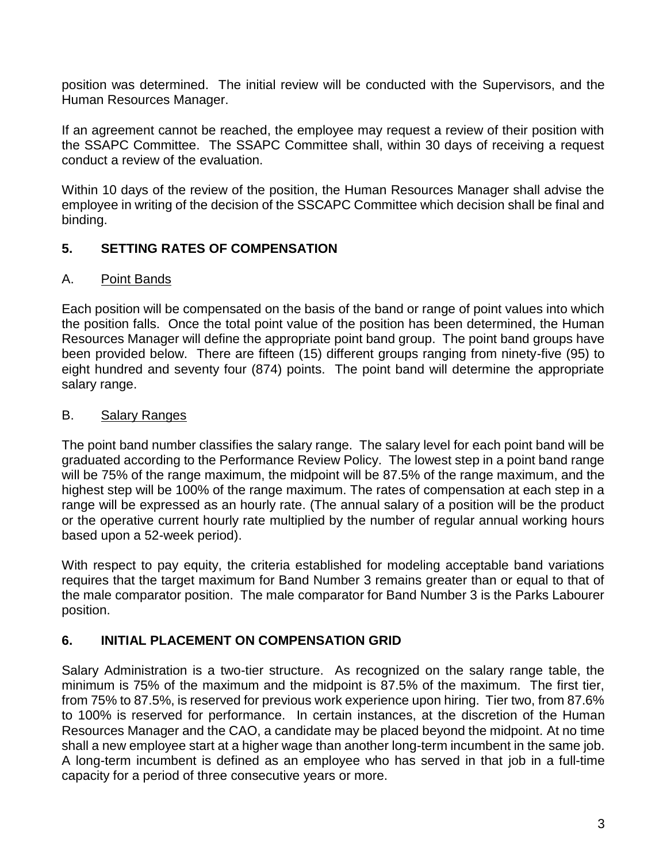position was determined. The initial review will be conducted with the Supervisors, and the Human Resources Manager.

If an agreement cannot be reached, the employee may request a review of their position with the SSAPC Committee. The SSAPC Committee shall, within 30 days of receiving a request conduct a review of the evaluation.

Within 10 days of the review of the position, the Human Resources Manager shall advise the employee in writing of the decision of the SSCAPC Committee which decision shall be final and binding.

## **5. SETTING RATES OF COMPENSATION**

#### A. Point Bands

Each position will be compensated on the basis of the band or range of point values into which the position falls. Once the total point value of the position has been determined, the Human Resources Manager will define the appropriate point band group. The point band groups have been provided below. There are fifteen (15) different groups ranging from ninety-five (95) to eight hundred and seventy four (874) points. The point band will determine the appropriate salary range.

#### B. Salary Ranges

The point band number classifies the salary range. The salary level for each point band will be graduated according to the Performance Review Policy. The lowest step in a point band range will be 75% of the range maximum, the midpoint will be 87.5% of the range maximum, and the highest step will be 100% of the range maximum. The rates of compensation at each step in a range will be expressed as an hourly rate. (The annual salary of a position will be the product or the operative current hourly rate multiplied by the number of regular annual working hours based upon a 52-week period).

With respect to pay equity, the criteria established for modeling acceptable band variations requires that the target maximum for Band Number 3 remains greater than or equal to that of the male comparator position. The male comparator for Band Number 3 is the Parks Labourer position.

## **6. INITIAL PLACEMENT ON COMPENSATION GRID**

Salary Administration is a two-tier structure. As recognized on the salary range table, the minimum is 75% of the maximum and the midpoint is 87.5% of the maximum. The first tier, from 75% to 87.5%, is reserved for previous work experience upon hiring. Tier two, from 87.6% to 100% is reserved for performance. In certain instances, at the discretion of the Human Resources Manager and the CAO, a candidate may be placed beyond the midpoint. At no time shall a new employee start at a higher wage than another long-term incumbent in the same job. A long-term incumbent is defined as an employee who has served in that job in a full-time capacity for a period of three consecutive years or more.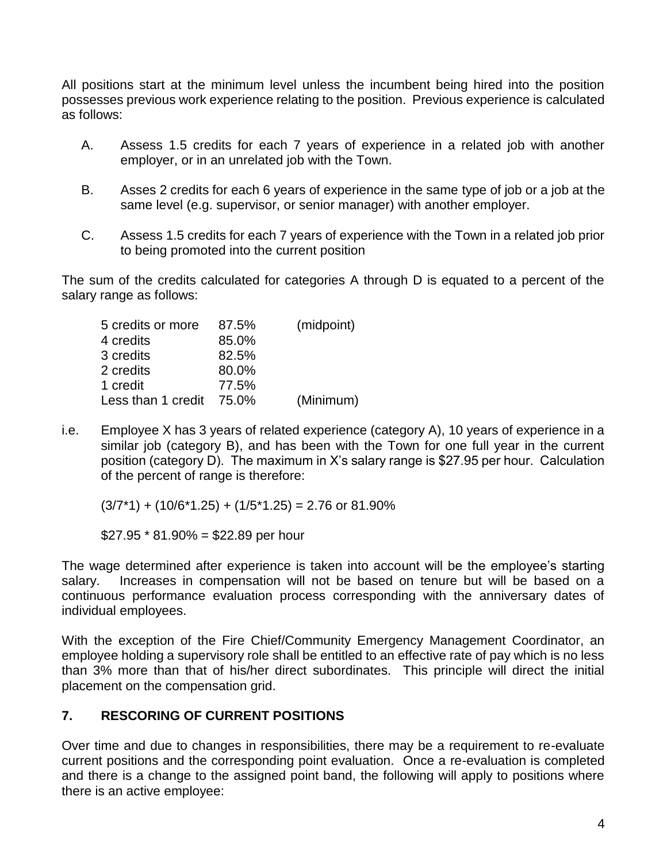All positions start at the minimum level unless the incumbent being hired into the position possesses previous work experience relating to the position. Previous experience is calculated as follows:

- A. Assess 1.5 credits for each 7 years of experience in a related job with another employer, or in an unrelated job with the Town.
- B. Asses 2 credits for each 6 years of experience in the same type of job or a job at the same level (e.g. supervisor, or senior manager) with another employer.
- C. Assess 1.5 credits for each 7 years of experience with the Town in a related job prior to being promoted into the current position

The sum of the credits calculated for categories A through D is equated to a percent of the salary range as follows:

| 5 credits or more  | 87.5% | (midpoint) |
|--------------------|-------|------------|
| 4 credits          | 85.0% |            |
| 3 credits          | 82.5% |            |
| 2 credits          | 80.0% |            |
| 1 credit           | 77.5% |            |
| Less than 1 credit | 75.0% | (Minimum)  |

i.e. Employee X has 3 years of related experience (category A), 10 years of experience in a similar job (category B), and has been with the Town for one full year in the current position (category D). The maximum in X's salary range is \$27.95 per hour. Calculation of the percent of range is therefore:

 $(3/7*1) + (10/6*1.25) + (1/5*1.25) = 2.76$  or 81.90%

 $$27.95 * 81.90\% = $22.89$  per hour

The wage determined after experience is taken into account will be the employee's starting salary. Increases in compensation will not be based on tenure but will be based on a continuous performance evaluation process corresponding with the anniversary dates of individual employees.

With the exception of the Fire Chief/Community Emergency Management Coordinator, an employee holding a supervisory role shall be entitled to an effective rate of pay which is no less than 3% more than that of his/her direct subordinates. This principle will direct the initial placement on the compensation grid.

## **7. RESCORING OF CURRENT POSITIONS**

Over time and due to changes in responsibilities, there may be a requirement to re-evaluate current positions and the corresponding point evaluation. Once a re-evaluation is completed and there is a change to the assigned point band, the following will apply to positions where there is an active employee: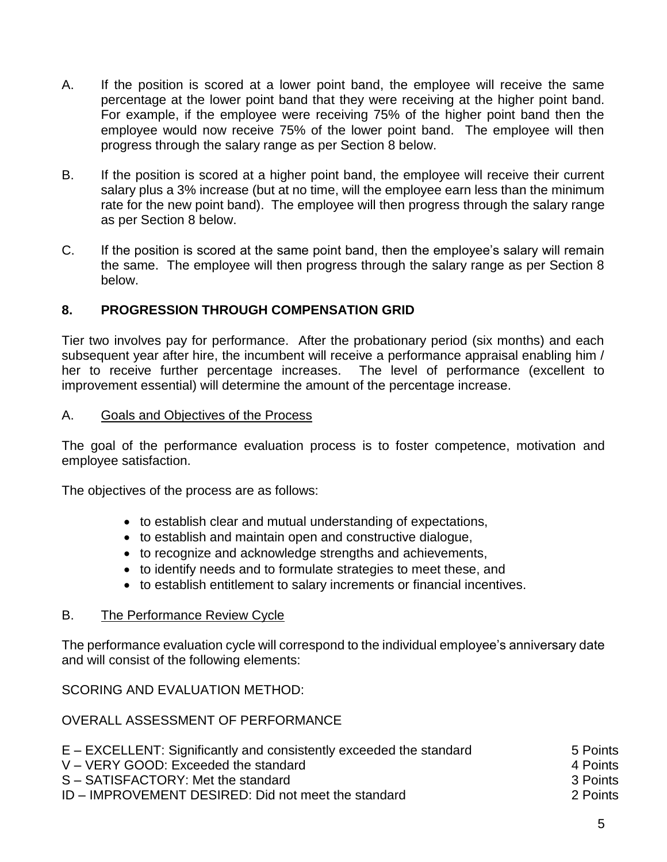- A. If the position is scored at a lower point band, the employee will receive the same percentage at the lower point band that they were receiving at the higher point band. For example, if the employee were receiving 75% of the higher point band then the employee would now receive 75% of the lower point band. The employee will then progress through the salary range as per Section 8 below.
- B. If the position is scored at a higher point band, the employee will receive their current salary plus a 3% increase (but at no time, will the employee earn less than the minimum rate for the new point band). The employee will then progress through the salary range as per Section 8 below.
- C. If the position is scored at the same point band, then the employee's salary will remain the same. The employee will then progress through the salary range as per Section 8 below.

#### **8. PROGRESSION THROUGH COMPENSATION GRID**

Tier two involves pay for performance. After the probationary period (six months) and each subsequent year after hire, the incumbent will receive a performance appraisal enabling him / her to receive further percentage increases. The level of performance (excellent to improvement essential) will determine the amount of the percentage increase.

#### A. Goals and Objectives of the Process

The goal of the performance evaluation process is to foster competence, motivation and employee satisfaction.

The objectives of the process are as follows:

- to establish clear and mutual understanding of expectations,
- to establish and maintain open and constructive dialogue,
- to recognize and acknowledge strengths and achievements,
- to identify needs and to formulate strategies to meet these, and
- to establish entitlement to salary increments or financial incentives.

#### B. The Performance Review Cycle

The performance evaluation cycle will correspond to the individual employee's anniversary date and will consist of the following elements:

SCORING AND EVALUATION METHOD:

#### OVERALL ASSESSMENT OF PERFORMANCE

| E – EXCELLENT: Significantly and consistently exceeded the standard | 5 Points   |
|---------------------------------------------------------------------|------------|
| V – VERY GOOD: Exceeded the standard                                | 4 Points   |
| S – SATISFACTORY: Met the standard                                  | - 3 Points |
| ID – IMPROVEMENT DESIRED: Did not meet the standard                 | 2 Points   |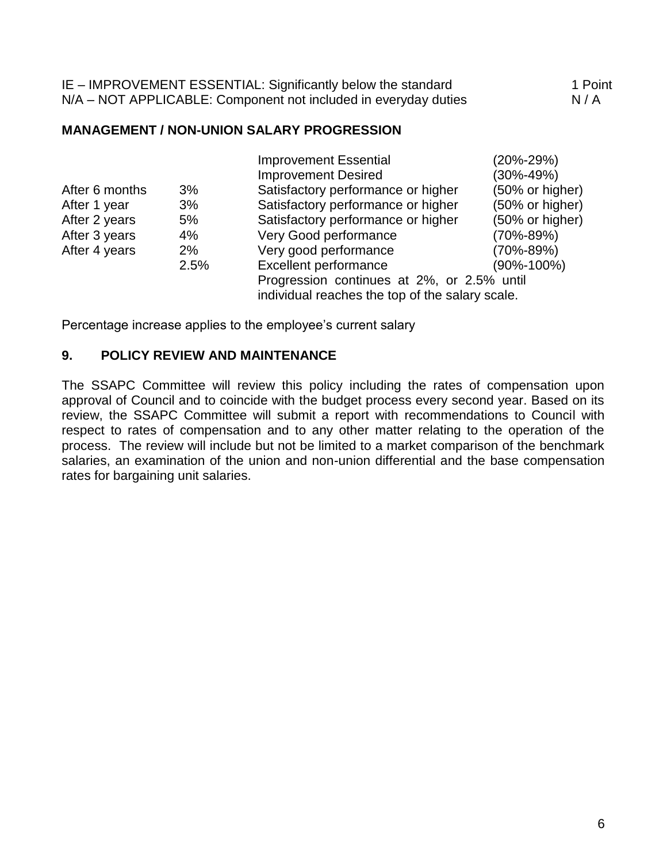| IE – IMPROVEMENT ESSENTIAL: Significantly below the standard    | 1 Point |
|-----------------------------------------------------------------|---------|
| N/A – NOT APPLICABLE: Component not included in everyday duties | N/A     |

#### **MANAGEMENT / NON-UNION SALARY PROGRESSION**

|                |       | <b>Improvement Essential</b>                    | (20%-29%)        |
|----------------|-------|-------------------------------------------------|------------------|
|                |       | <b>Improvement Desired</b>                      | $(30\% - 49\%)$  |
| After 6 months | 3%    | Satisfactory performance or higher              | (50% or higher)  |
| After 1 year   | 3%    | Satisfactory performance or higher              | (50% or higher)  |
| After 2 years  | 5%    | Satisfactory performance or higher              | (50% or higher)  |
| After 3 years  | 4%    | Very Good performance                           | (70%-89%)        |
| After 4 years  | $2\%$ | Very good performance                           | (70%-89%)        |
|                | 2.5%  | Excellent performance                           | $(90\% - 100\%)$ |
|                |       | Progression continues at 2%, or 2.5% until      |                  |
|                |       | individual reaches the top of the salary scale. |                  |
|                |       |                                                 |                  |

Percentage increase applies to the employee's current salary

#### **9. POLICY REVIEW AND MAINTENANCE**

The SSAPC Committee will review this policy including the rates of compensation upon approval of Council and to coincide with the budget process every second year. Based on its review, the SSAPC Committee will submit a report with recommendations to Council with respect to rates of compensation and to any other matter relating to the operation of the process. The review will include but not be limited to a market comparison of the benchmark salaries, an examination of the union and non-union differential and the base compensation rates for bargaining unit salaries.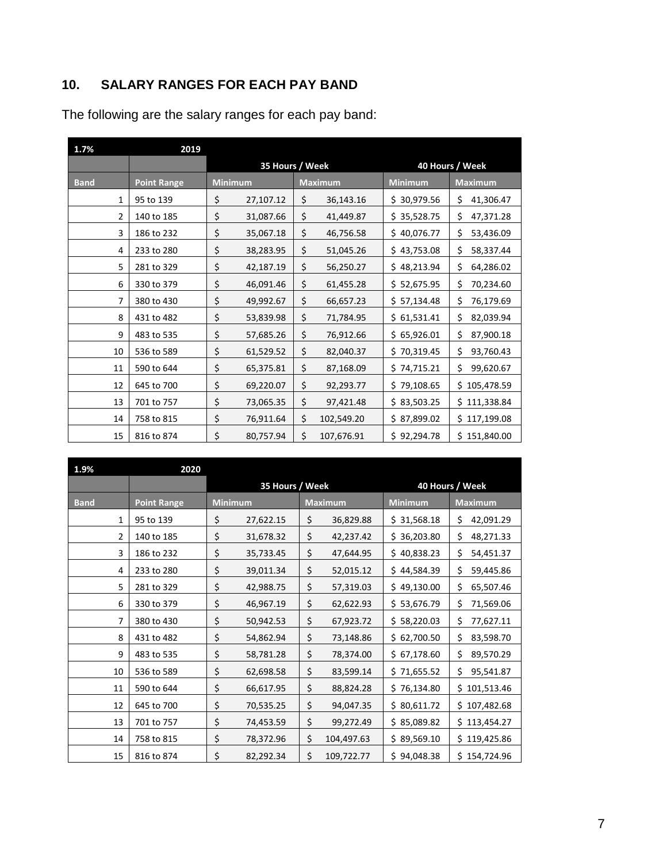## **10. SALARY RANGES FOR EACH PAY BAND**

The following are the salary ranges for each pay band:

| 1.7%           | 2019               |                |                                    |    |                |                |                 |  |  |
|----------------|--------------------|----------------|------------------------------------|----|----------------|----------------|-----------------|--|--|
|                |                    |                | 35 Hours / Week<br>40 Hours / Week |    |                |                |                 |  |  |
| <b>Band</b>    | <b>Point Range</b> | <b>Minimum</b> |                                    |    | <b>Maximum</b> | <b>Minimum</b> | <b>Maximum</b>  |  |  |
| 1              | 95 to 139          | \$             | 27,107.12                          | \$ | 36,143.16      | \$30,979.56    | \$<br>41,306.47 |  |  |
| $\overline{2}$ | 140 to 185         | \$             | 31,087.66                          | \$ | 41,449.87      | \$35,528.75    | \$<br>47,371.28 |  |  |
| 3              | 186 to 232         | \$             | 35,067.18                          | \$ | 46,756.58      | \$40,076.77    | \$<br>53,436.09 |  |  |
| 4              | 233 to 280         | \$             | 38,283.95                          | \$ | 51,045.26      | \$43,753.08    | \$<br>58,337.44 |  |  |
| 5              | 281 to 329         | \$             | 42,187.19                          | \$ | 56,250.27      | \$48,213.94    | \$<br>64,286.02 |  |  |
| 6              | 330 to 379         | \$             | 46,091.46                          | \$ | 61,455.28      | \$52,675.95    | \$<br>70,234.60 |  |  |
| 7              | 380 to 430         | \$             | 49,992.67                          | \$ | 66,657.23      | \$57,134.48    | \$<br>76,179.69 |  |  |
| 8              | 431 to 482         | \$             | 53,839.98                          | \$ | 71,784.95      | \$61,531.41    | \$<br>82,039.94 |  |  |
| 9              | 483 to 535         | \$             | 57,685.26                          | \$ | 76,912.66      | \$65,926.01    | \$<br>87,900.18 |  |  |
| 10             | 536 to 589         | \$             | 61,529.52                          | \$ | 82,040.37      | \$70,319.45    | \$<br>93,760.43 |  |  |
| 11             | 590 to 644         | \$             | 65,375.81                          | \$ | 87,168.09      | \$74,715.21    | Ś.<br>99,620.67 |  |  |
| 12             | 645 to 700         | \$             | 69,220.07                          | \$ | 92,293.77      | \$79,108.65    | \$105,478.59    |  |  |
| 13             | 701 to 757         | \$             | 73,065.35                          | \$ | 97,421.48      | \$83,503.25    | \$111,338.84    |  |  |
| 14             | 758 to 815         | \$             | 76,911.64                          | \$ | 102,549.20     | \$87,899.02    | \$117,199.08    |  |  |
| 15             | 816 to 874         | \$             | 80,757.94                          | \$ | 107,676.91     | \$92,294.78    | \$151,840.00    |  |  |

| 1.9%           | 2020               |                |                 |    |                 |                |                 |
|----------------|--------------------|----------------|-----------------|----|-----------------|----------------|-----------------|
|                |                    |                | 35 Hours / Week |    | 40 Hours / Week |                |                 |
| <b>Band</b>    | <b>Point Range</b> | <b>Minimum</b> |                 |    | <b>Maximum</b>  | <b>Minimum</b> | <b>Maximum</b>  |
| 1              | 95 to 139          | \$             | 27,622.15       | \$ | 36,829.88       | \$31,568.18    | \$<br>42,091.29 |
| $\overline{2}$ | 140 to 185         | \$             | 31,678.32       | \$ | 42,237.42       | \$36,203.80    | \$<br>48,271.33 |
| 3              | 186 to 232         | \$             | 35,733.45       | \$ | 47,644.95       | \$40,838.23    | \$<br>54,451.37 |
| 4              | 233 to 280         | \$             | 39,011.34       | \$ | 52,015.12       | \$44,584.39    | \$<br>59,445.86 |
| 5              | 281 to 329         | \$             | 42,988.75       | \$ | 57,319.03       | \$49,130.00    | \$<br>65,507.46 |
| 6              | 330 to 379         | \$             | 46,967.19       | \$ | 62,622.93       | \$53,676.79    | \$<br>71,569.06 |
| 7              | 380 to 430         | \$             | 50,942.53       | \$ | 67,923.72       | \$58,220.03    | \$<br>77,627.11 |
| 8              | 431 to 482         | \$             | 54,862.94       | \$ | 73,148.86       | \$62,700.50    | \$<br>83,598.70 |
| 9              | 483 to 535         | \$             | 58,781.28       | \$ | 78,374.00       | \$67,178.60    | \$<br>89,570.29 |
| 10             | 536 to 589         | \$             | 62,698.58       | \$ | 83,599.14       | \$71,655.52    | \$<br>95,541.87 |
| 11             | 590 to 644         | \$             | 66,617.95       | \$ | 88,824.28       | \$76,134.80    | \$101,513.46    |
| 12             | 645 to 700         | \$             | 70,535.25       | \$ | 94,047.35       | \$80,611.72    | \$107,482.68    |
| 13             | 701 to 757         | \$             | 74,453.59       | \$ | 99,272.49       | \$85,089.82    | \$113,454.27    |
| 14             | 758 to 815         | \$             | 78,372.96       | \$ | 104,497.63      | \$89,569.10    | \$119,425.86    |
| 15             | 816 to 874         | \$             | 82,292.34       | Ś. | 109,722.77      | \$94,048.38    | \$154,724.96    |